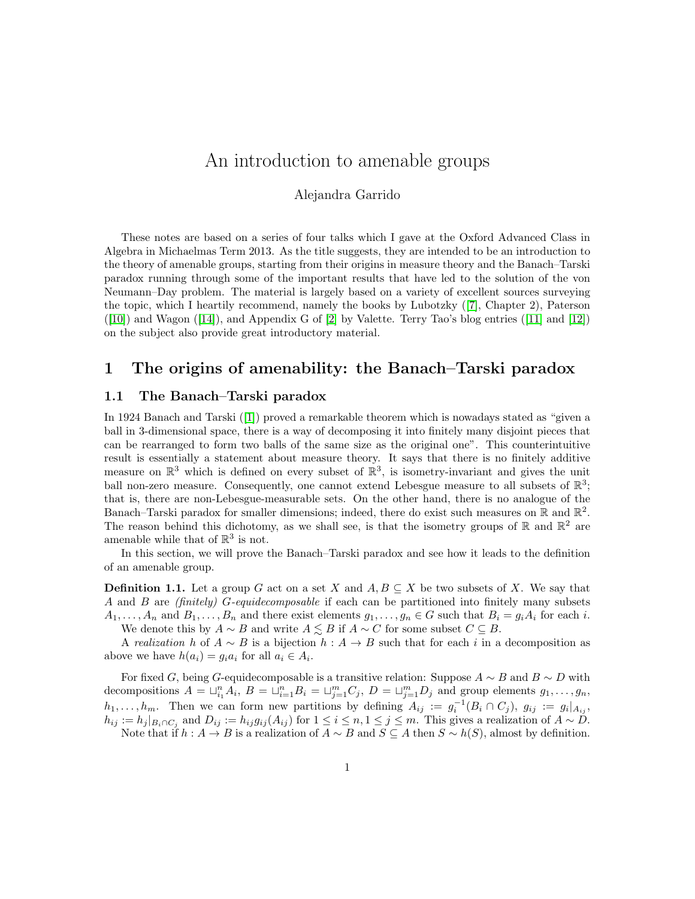# <span id="page-0-0"></span>An introduction to amenable groups

## Alejandra Garrido

These notes are based on a series of four talks which I gave at the Oxford Advanced Class in Algebra in Michaelmas Term 2013. As the title suggests, they are intended to be an introduction to the theory of amenable groups, starting from their origins in measure theory and the Banach–Tarski paradox running through some of the important results that have led to the solution of the von Neumann–Day problem. The material is largely based on a variety of excellent sources surveying the topic, which I heartily recommend, namely the books by Lubotzky ([\[7\]](#page-16-0), Chapter 2), Paterson  $([10])$  $([10])$  $([10])$ and Wagon  $([14])$  $([14])$  $([14])$ , and Appendix G of  $[2]$  by Valette. Terry Tao's blog entries  $([11]$  $([11]$  and  $[12])$ on the subject also provide great introductory material.

## 1 The origins of amenability: the Banach–Tarski paradox

## 1.1 The Banach–Tarski paradox

In 1924 Banach and Tarski([\[1\]](#page-16-6)) proved a remarkable theorem which is nowadays stated as "given a ball in 3-dimensional space, there is a way of decomposing it into finitely many disjoint pieces that can be rearranged to form two balls of the same size as the original one". This counterintuitive result is essentially a statement about measure theory. It says that there is no finitely additive measure on  $\mathbb{R}^3$  which is defined on every subset of  $\mathbb{R}^3$ , is isometry-invariant and gives the unit ball non-zero measure. Consequently, one cannot extend Lebesgue measure to all subsets of  $\mathbb{R}^3$ ; that is, there are non-Lebesgue-measurable sets. On the other hand, there is no analogue of the Banach–Tarski paradox for smaller dimensions; indeed, there do exist such measures on  $\mathbb R$  and  $\mathbb R^2$ . The reason behind this dichotomy, as we shall see, is that the isometry groups of  $\mathbb{R}$  and  $\mathbb{R}^2$  are amenable while that of  $\mathbb{R}^3$  is not.

In this section, we will prove the Banach–Tarski paradox and see how it leads to the definition of an amenable group.

**Definition 1.1.** Let a group G act on a set X and  $A, B \subseteq X$  be two subsets of X. We say that A and B are (finitely) G-equidecomposable if each can be partitioned into finitely many subsets  $A_1, \ldots, A_n$  and  $B_1, \ldots, B_n$  and there exist elements  $g_1, \ldots, g_n \in G$  such that  $B_i = g_i A_i$  for each i. We denote this by  $A \sim B$  and write  $A \lesssim B$  if  $A \sim C$  for some subset  $C \subseteq B$ .

A realization h of  $A \sim B$  is a bijection  $h : A \to B$  such that for each i in a decomposition as above we have  $h(a_i) = g_i a_i$  for all  $a_i \in A_i$ .

For fixed G, being G-equidecomposable is a transitive relation: Suppose  $A \sim B$  and  $B \sim D$  with decompositions  $A = \bigcup_{i=1}^{n} A_i$ ,  $B = \bigcup_{i=1}^{n} B_i = \bigcup_{j=1}^{m} C_j$ ,  $D = \bigcup_{j=1}^{m} D_j$  and group elements  $g_1, \ldots, g_n$ ,  $h_1, \ldots, h_m$ . Then we can form new partitions by defining  $A_{ij} := g_i^{-1}(B_i \cap C_j)$ ,  $g_{ij} := g_i|_{A_{ij}}$ ,  $h_{ij} := h_j |_{B_i \cap C_j}$  and  $D_{ij} := h_{ij} g_{ij} (A_{ij})$  for  $1 \le i \le n, 1 \le j \le m$ . This gives a realization of  $A \sim D$ . Note that if  $h : A \to B$  is a realization of  $A \sim B$  and  $S \subseteq A$  then  $S \sim h(S)$ , almost by definition.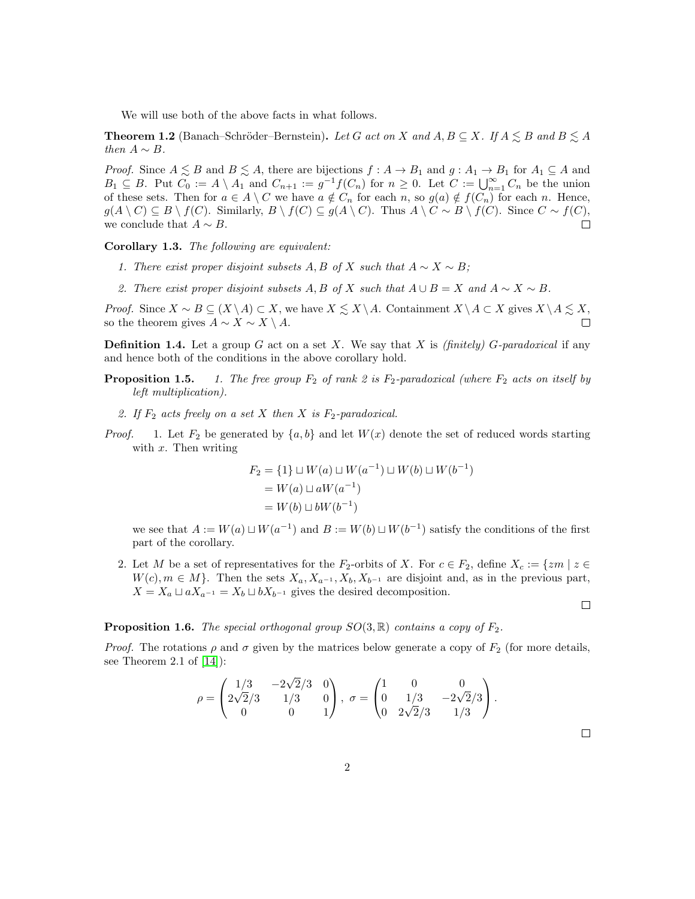We will use both of the above facts in what follows.

**Theorem 1.2** (Banach–Schröder–Bernstein). Let G act on X and  $A, B \subseteq X$ . If  $A \leq B$  and  $B \leq A$ then  $A \sim B$ .

*Proof.* Since  $A \leq B$  and  $B \leq A$ , there are bijections  $f : A \to B_1$  and  $g : A_1 \to B_1$  for  $A_1 \subseteq A$  and  $B_1 \subseteq B$ . Put  $C_0 := A \setminus A_1$  and  $C_{n+1} := g^{-1} f(C_n)$  for  $n \geq 0$ . Let  $C := \bigcup_{n=1}^{\infty} C_n$  be the union of these sets. Then for  $a \in A \setminus C$  we have  $a \notin C_n$  for each n, so  $g(a) \notin f(C_n)$  for each n. Hence,  $g(A \setminus C) \subseteq B \setminus f(C)$ . Similarly,  $B \setminus f(C) \subseteq g(A \setminus C)$ . Thus  $A \setminus C \sim B \setminus f(C)$ . Since  $C \sim f(C)$ , we conclude that  $A \sim B$ .  $\Box$ 

Corollary 1.3. The following are equivalent:

- 1. There exist proper disjoint subsets A, B of X such that  $A \sim X \sim B$ ;
- 2. There exist proper disjoint subsets A, B of X such that  $A \cup B = X$  and  $A \sim X \sim B$ .

*Proof.* Since  $X \sim B \subseteq (X \setminus A) \subset X$ , we have  $X \leq X \setminus A$ . Containment  $X \setminus A \subset X$  gives  $X \setminus A \leq X$ , so the theorem gives  $A \sim X \sim X \setminus A$ .  $\Box$ 

**Definition 1.4.** Let a group G act on a set X. We say that X is *(finitely)* G-paradoxical if any and hence both of the conditions in the above corollary hold.

- **Proposition 1.5.** 1. The free group  $F_2$  of rank 2 is  $F_2$ -paradoxical (where  $F_2$  acts on itself by left multiplication).
	- 2. If  $F_2$  acts freely on a set X then X is  $F_2$ -paradoxical.
- *Proof.* 1. Let  $F_2$  be generated by  $\{a, b\}$  and let  $W(x)$  denote the set of reduced words starting with  $x$ . Then writing

$$
F_2 = \{1\} \sqcup W(a) \sqcup W(a^{-1}) \sqcup W(b) \sqcup W(b^{-1})
$$
  
=  $W(a) \sqcup aW(a^{-1})$   
=  $W(b) \sqcup bW(b^{-1})$ 

we see that  $A := W(a) \sqcup W(a^{-1})$  and  $B := W(b) \sqcup W(b^{-1})$  satisfy the conditions of the first part of the corollary.

2. Let M be a set of representatives for the  $F_2$ -orbits of X. For  $c \in F_2$ , define  $X_c := \{zm \mid z \in F_2\}$  $W(c), m \in M$ . Then the sets  $X_a, X_{a^{-1}}, X_b, X_{b^{-1}}$  are disjoint and, as in the previous part,  $X = X_a \sqcup aX_{a^{-1}} = X_b \sqcup bX_{b^{-1}}$  gives the desired decomposition.

#### **Proposition 1.6.** The special orthogonal group  $SO(3,\mathbb{R})$  contains a copy of  $F_2$ .

*Proof.* The rotations  $\rho$  and  $\sigma$  given by the matrices below generate a copy of  $F_2$  (for more details, see Theorem 2.1 of  $[14]$ :

$$
\rho = \begin{pmatrix} 1/3 & -2\sqrt{2}/3 & 0 \\ 2\sqrt{2}/3 & 1/3 & 0 \\ 0 & 0 & 1 \end{pmatrix}, \ \sigma = \begin{pmatrix} 1 & 0 & 0 \\ 0 & 1/3 & -2\sqrt{2}/3 \\ 0 & 2\sqrt{2}/3 & 1/3 \end{pmatrix}.
$$

 $\Box$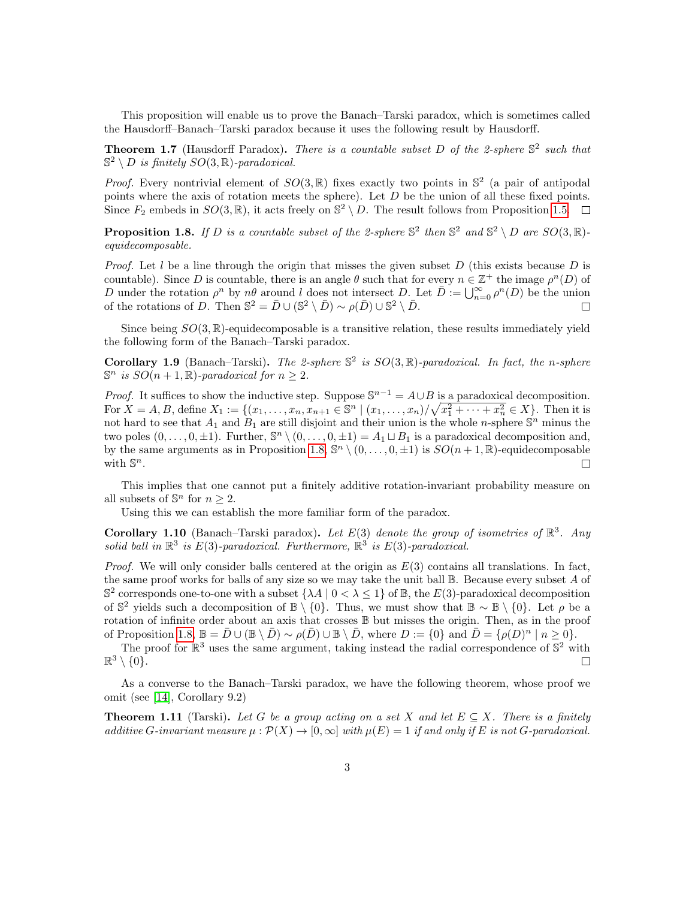This proposition will enable us to prove the Banach–Tarski paradox, which is sometimes called the Hausdorff–Banach–Tarski paradox because it uses the following result by Hausdorff.

**Theorem 1.7** (Hausdorff Paradox). There is a countable subset D of the 2-sphere  $\mathbb{S}^2$  such that  $\mathbb{S}^2 \setminus D$  is finitely  $SO(3,\mathbb{R})$ -paradoxical.

*Proof.* Every nontrivial element of  $SO(3,\mathbb{R})$  fixes exactly two points in  $\mathbb{S}^2$  (a pair of antipodal points where the axis of rotation meets the sphere). Let  $D$  be the union of all these fixed points. Since  $F_2$  embeds in  $SO(3,\mathbb{R})$ , it acts freely on  $\mathbb{S}^2 \setminus D$ . The result follows from Proposition [1.5.](#page-0-0)

<span id="page-2-0"></span>**Proposition 1.8.** If D is a countable subset of the 2-sphere  $\mathbb{S}^2$  then  $\mathbb{S}^2$  and  $\mathbb{S}^2 \setminus D$  are  $SO(3,\mathbb{R})$ equidecomposable.

*Proof.* Let l be a line through the origin that misses the given subset D (this exists because D is countable). Since D is countable, there is an angle  $\theta$  such that for every  $n \in \mathbb{Z}^+$  the image  $\rho^n(D)$  of D under the rotation  $\rho^n$  by  $n\theta$  around l does not intersect D. Let  $\overline{D} := \bigcup_{n=0}^{\infty} \rho^n(D)$  be the union of the rotations of D. Then  $\mathbb{S}^2 = \bar{D} \cup (\mathbb{S}^2 \setminus \bar{D}) \sim \rho(\bar{D}) \cup \mathbb{S}^2 \setminus \bar{D}$ .

Since being  $SO(3,\mathbb{R})$ -equidecomposable is a transitive relation, these results immediately yield the following form of the Banach–Tarski paradox.

Corollary 1.9 (Banach–Tarski). The 2-sphere  $\mathbb{S}^2$  is  $SO(3,\mathbb{R})$ -paradoxical. In fact, the n-sphere  $\mathbb{S}^n$  is  $SO(n+1,\mathbb{R})$ -paradoxical for  $n \geq 2$ .

*Proof.* It suffices to show the inductive step. Suppose  $\mathbb{S}^{n-1} = A \cup B$  is a paradoxical decomposition. For  $X = A, B$ , define  $X_1 := \{(x_1, \ldots, x_n, x_{n+1} \in \mathbb{S}^n \mid (x_1, \ldots, x_n) / \sqrt{x_1^2 + \cdots + x_n^2} \in X\}$ . Then it is not hard to see that  $A_1$  and  $B_1$  are still disjoint and their union is the whole *n*-sphere  $\mathbb{S}^n$  minus the two poles  $(0, \ldots, 0, \pm 1)$ . Further,  $\mathbb{S}^n \setminus (0, \ldots, 0, \pm 1) = A_1 \sqcup B_1$  is a paradoxical decomposition and, by the same arguments as in Proposition [1.8,](#page-2-0)  $\mathbb{S}^n \setminus (0, \ldots, 0, \pm 1)$  is  $SO(n+1, \mathbb{R})$ -equidecomposable with  $\mathbb{S}^n$ .  $\Box$ 

This implies that one cannot put a finitely additive rotation-invariant probability measure on all subsets of  $\mathbb{S}^n$  for  $n \geq 2$ .

Using this we can establish the more familiar form of the paradox.

Corollary 1.10 (Banach–Tarski paradox). Let  $E(3)$  denote the group of isometries of  $\mathbb{R}^3$ . Any solid ball in  $\mathbb{R}^3$  is  $E(3)$ -paradoxical. Furthermore,  $\mathbb{R}^3$  is  $E(3)$ -paradoxical.

*Proof.* We will only consider balls centered at the origin as  $E(3)$  contains all translations. In fact, the same proof works for balls of any size so we may take the unit ball  $\mathbb B$ . Because every subset A of  $\mathbb{S}^2$  corresponds one-to-one with a subset  $\{\lambda A \mid 0 \leq \lambda \leq 1\}$  of  $\mathbb{B}$ , the  $E(3)$ -paradoxical decomposition of  $\mathbb{S}^2$  yields such a decomposition of  $\mathbb{B} \setminus \{0\}$ . Thus, we must show that  $\mathbb{B} \sim \mathbb{B} \setminus \{0\}$ . Let  $\rho$  be a rotation of infinite order about an axis that crosses B but misses the origin. Then, as in the proof of Proposition [1.8,](#page-2-0)  $\mathbb{B} = \overline{D} \cup (\mathbb{B} \setminus \overline{D}) \sim \rho(\overline{D}) \cup \mathbb{B} \setminus \overline{D}$ , where  $D := \{0\}$  and  $\overline{D} = \{\rho(D)^n \mid n \geq 0\}$ .

The proof for  $\mathbb{R}^3$  uses the same argument, taking instead the radial correspondence of  $\mathbb{S}^2$  with  $\mathbb{R}^3 \setminus \{0\}.$  $\Box$ 

As a converse to the Banach–Tarski paradox, we have the following theorem, whose proof we omit (see [\[14\]](#page-16-2), Corollary 9.2)

<span id="page-2-1"></span>**Theorem 1.11** (Tarski). Let G be a group acting on a set X and let  $E \subseteq X$ . There is a finitely additive G-invariant measure  $\mu : \mathcal{P}(X) \to [0,\infty]$  with  $\mu(E) = 1$  if and only if E is not G-paradoxical.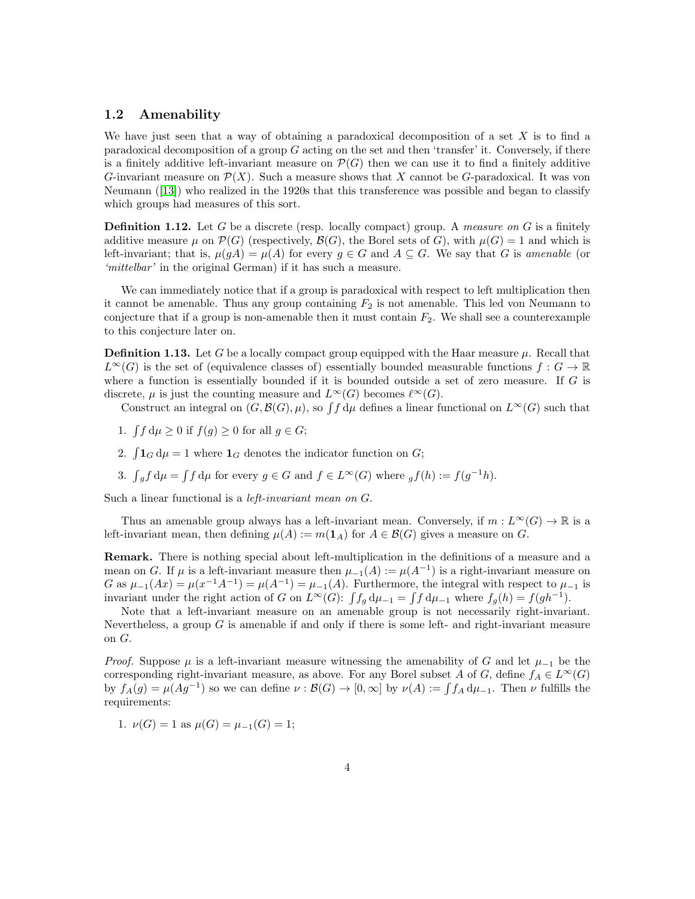### 1.2 Amenability

We have just seen that a way of obtaining a paradoxical decomposition of a set  $X$  is to find a paradoxical decomposition of a group  $G$  acting on the set and then 'transfer' it. Conversely, if there is a finitely additive left-invariant measure on  $\mathcal{P}(G)$  then we can use it to find a finitely additive G-invariant measure on  $\mathcal{P}(X)$ . Such a measure shows that X cannot be G-paradoxical. It was von Neumann([\[13\]](#page-16-7)) who realized in the 1920s that this transference was possible and began to classify which groups had measures of this sort.

**Definition 1.12.** Let G be a discrete (resp. locally compact) group. A measure on G is a finitely additive measure  $\mu$  on  $\mathcal{P}(G)$  (respectively,  $\mathcal{B}(G)$ , the Borel sets of G), with  $\mu(G) = 1$  and which is left-invariant; that is,  $\mu(gA) = \mu(A)$  for every  $g \in G$  and  $A \subseteq G$ . We say that G is amenable (or 'mittelbar' in the original German) if it has such a measure.

We can immediately notice that if a group is paradoxical with respect to left multiplication then it cannot be amenable. Thus any group containing  $F_2$  is not amenable. This led von Neumann to conjecture that if a group is non-amenable then it must contain  $F_2$ . We shall see a counterexample to this conjecture later on.

**Definition 1.13.** Let G be a locally compact group equipped with the Haar measure  $\mu$ . Recall that  $L^{\infty}(G)$  is the set of (equivalence classes of) essentially bounded measurable functions  $f: G \to \mathbb{R}$ where a function is essentially bounded if it is bounded outside a set of zero measure. If  $G$  is discrete,  $\mu$  is just the counting measure and  $L^{\infty}(G)$  becomes  $\ell^{\infty}(G)$ .

Construct an integral on  $(G, \mathcal{B}(G), \mu)$ , so  $\int f d\mu$  defines a linear functional on  $L^{\infty}(G)$  such that

- 1.  $\int f d\mu \ge 0$  if  $f(g) \ge 0$  for all  $g \in G$ ;
- 2.  $\int 1_G d\mu = 1$  where  $1_G$  denotes the indicator function on G;
- 3.  $\int_g f d\mu = \int f d\mu$  for every  $g \in G$  and  $f \in L^{\infty}(G)$  where  $_g f(h) := f(g^{-1}h)$ .

Such a linear functional is a *left-invariant mean on G*.

Thus an amenable group always has a left-invariant mean. Conversely, if  $m : L^{\infty}(G) \to \mathbb{R}$  is a left-invariant mean, then defining  $\mu(A) := m(\mathbf{1}_A)$  for  $A \in \mathcal{B}(G)$  gives a measure on G.

Remark. There is nothing special about left-multiplication in the definitions of a measure and a mean on G. If  $\mu$  is a left-invariant measure then  $\mu_{-1}(A) := \mu(A^{-1})$  is a right-invariant measure on G as  $\mu_{-1}(Ax) = \mu(x^{-1}A^{-1}) = \mu(A^{-1}) = \mu_{-1}(A)$ . Furthermore, the integral with respect to  $\mu_{-1}$  is invariant under the right action of G on  $L^{\infty}(G)$ :  $\int f_g d\mu_{-1} = \int f d\mu_{-1}$  where  $f_g(h) = f(gh^{-1})$ .

Note that a left-invariant measure on an amenable group is not necessarily right-invariant. Nevertheless, a group  $G$  is amenable if and only if there is some left- and right-invariant measure on G.

*Proof.* Suppose  $\mu$  is a left-invariant measure witnessing the amenability of G and let  $\mu_{-1}$  be the corresponding right-invariant measure, as above. For any Borel subset A of G, define  $f_A \in L^{\infty}(G)$ by  $f_A(g) = \mu(Ag^{-1})$  so we can define  $\nu : \mathcal{B}(G) \to [0,\infty]$  by  $\nu(A) := \int f_A d\mu_{-1}$ . Then  $\nu$  fulfills the requirements:

1.  $\nu(G) = 1$  as  $\mu(G) = \mu_{-1}(G) = 1$ ;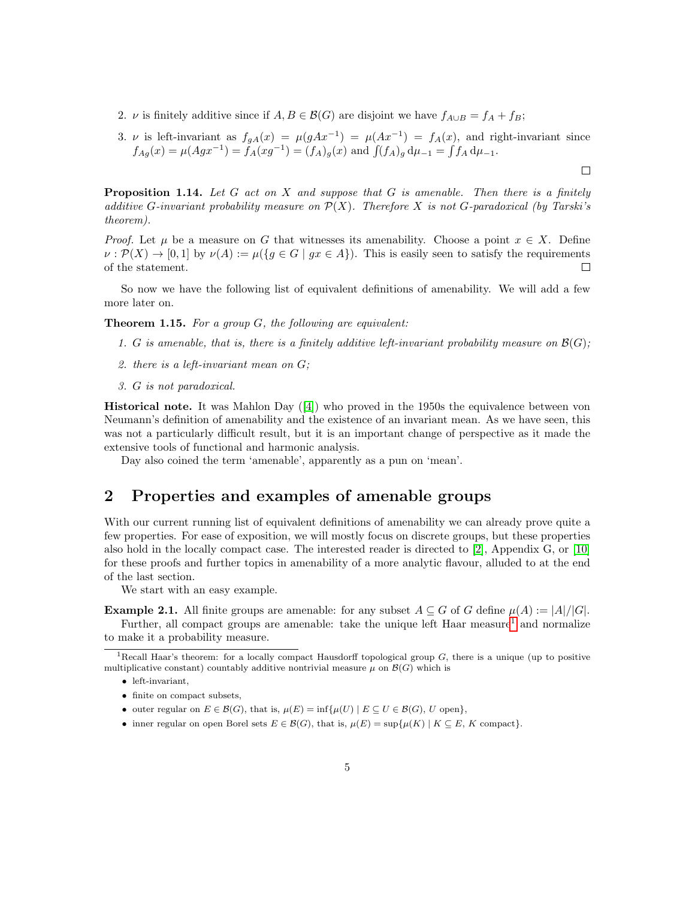- 2. *v* is finitely additive since if  $A, B \in \mathcal{B}(G)$  are disjoint we have  $f_{A\cup B} = f_A + f_B$ ;
- 3. v is left-invariant as  $f_{gA}(x) = \mu(gAx^{-1}) = \mu(Ax^{-1}) = f_A(x)$ , and right-invariant since  $f_{Ag}(x) = \mu(Agx^{-1}) = f_A(xg^{-1}) = (f_A)_g(x)$  and  $\int (f_A)_g d\mu_{-1} = \int f_A d\mu_{-1}$ .

 $\Box$ 

**Proposition 1.14.** Let  $G$  act on  $X$  and suppose that  $G$  is amenable. Then there is a finitely additive G-invariant probability measure on  $\mathcal{P}(X)$ . Therefore X is not G-paradoxical (by Tarski's theorem).

*Proof.* Let  $\mu$  be a measure on G that witnesses its amenability. Choose a point  $x \in X$ . Define  $\nu : \mathcal{P}(X) \to [0,1]$  by  $\nu(A) := \mu({g \in G \mid gx \in A})$ . This is easily seen to satisfy the requirements of the statement.  $\Box$ 

So now we have the following list of equivalent definitions of amenability. We will add a few more later on.

**Theorem 1.15.** For a group  $G$ , the following are equivalent:

- 1. G is amenable, that is, there is a finitely additive left-invariant probability measure on  $\mathcal{B}(G)$ ;
- 2. there is a left-invariant mean on G;
- 3. G is not paradoxical.

Historical note. It was Mahlon Day([\[4\]](#page-16-8)) who proved in the 1950s the equivalence between von Neumann's definition of amenability and the existence of an invariant mean. As we have seen, this was not a particularly difficult result, but it is an important change of perspective as it made the extensive tools of functional and harmonic analysis.

Day also coined the term 'amenable', apparently as a pun on 'mean'.

## 2 Properties and examples of amenable groups

With our current running list of equivalent definitions of amenability we can already prove quite a few properties. For ease of exposition, we will mostly focus on discrete groups, but these properties also hold in the locally compact case. The interested reader is directed to [\[2\]](#page-16-3), Appendix G, or [\[10\]](#page-16-1) for these proofs and further topics in amenability of a more analytic flavour, alluded to at the end of the last section.

We start with an easy example.

**Example 2.1.** All finite groups are amenable: for any subset  $A \subseteq G$  of G define  $\mu(A) := |A|/|G|$ . Further, all compact groups are amenable: take the unique left Haar measure<sup>[1](#page-4-0)</sup> and normalize to make it a probability measure.

- finite on compact subsets,
- outer regular on  $E \in \mathcal{B}(G)$ , that is,  $\mu(E) = \inf \{ \mu(U) \mid E \subseteq U \in \mathcal{B}(G), U \text{ open} \},\$
- inner regular on open Borel sets  $E \in \mathcal{B}(G)$ , that is,  $\mu(E) = \sup \{ \mu(K) \mid K \subseteq E, K \text{ compact} \}.$

<span id="page-4-0"></span><sup>&</sup>lt;sup>1</sup>Recall Haar's theorem: for a locally compact Hausdorff topological group  $G$ , there is a unique (up to positive multiplicative constant) countably additive nontrivial measure  $\mu$  on  $\mathcal{B}(G)$  which is

<sup>•</sup> left-invariant,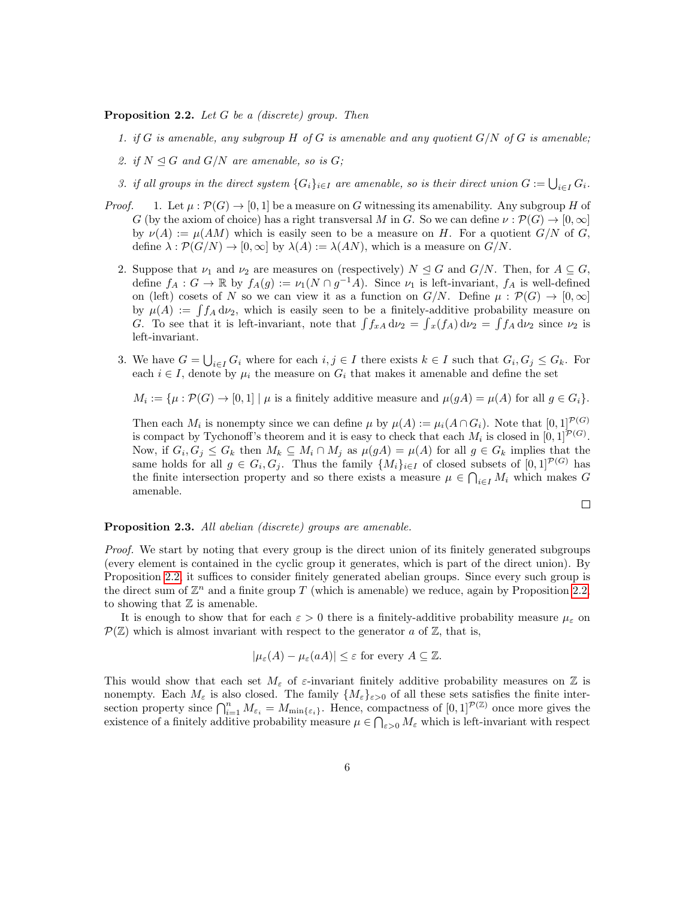<span id="page-5-0"></span>**Proposition 2.2.** Let G be a *(discrete)* group. Then

- 1. if G is amenable, any subgroup H of G is amenable and any quotient  $G/N$  of G is amenable;
- 2. if  $N \trianglelefteq G$  and  $G/N$  are amenable, so is  $G$ ;
- 3. if all groups in the direct system  $\{G_i\}_{i\in I}$  are amenable, so is their direct union  $G:=\bigcup_{i\in I}G_i$ .
- *Proof.* 1. Let  $\mu : \mathcal{P}(G) \to [0,1]$  be a measure on G witnessing its amenability. Any subgroup H of G (by the axiom of choice) has a right transversal M in G. So we can define  $\nu : \mathcal{P}(G) \to [0, \infty]$ by  $\nu(A) := \mu(AM)$  which is easily seen to be a measure on H. For a quotient  $G/N$  of G, define  $\lambda : \mathcal{P}(G/N) \to [0,\infty]$  by  $\lambda(A) := \lambda(AN)$ , which is a measure on  $G/N$ .
	- 2. Suppose that  $\nu_1$  and  $\nu_2$  are measures on (respectively)  $N \trianglelefteq G$  and  $G/N$ . Then, for  $A \subseteq G$ , define  $f_A: G \to \mathbb{R}$  by  $f_A(g) := \nu_1(N \cap g^{-1}A)$ . Since  $\nu_1$  is left-invariant,  $f_A$  is well-defined on (left) cosets of N so we can view it as a function on  $G/N$ . Define  $\mu : \mathcal{P}(G) \to [0, \infty]$ by  $\mu(A) := \int f_A d\nu_2$ , which is easily seen to be a finitely-additive probability measure on G. To see that it is left-invariant, note that  $\int f_{xA} d\nu_2 = \int_x f_A d\nu_2 = \int f_A d\nu_2$  since  $\nu_2$  is left-invariant.
	- 3. We have  $G = \bigcup_{i \in I} G_i$  where for each  $i, j \in I$  there exists  $k \in I$  such that  $G_i, G_j \leq G_k$ . For each  $i \in I$ , denote by  $\mu_i$  the measure on  $G_i$  that makes it amenable and define the set

 $M_i := \{ \mu : \mathcal{P}(G) \to [0,1] \mid \mu \text{ is a finitely additive measure and } \mu(gA) = \mu(A) \text{ for all } g \in G_i \}.$ 

Then each  $M_i$  is nonempty since we can define  $\mu$  by  $\mu(A) := \mu_i(A \cap G_i)$ . Note that  $[0,1]^{P(G)}$ is compact by Tychonoff's theorem and it is easy to check that each  $M_i$  is closed in  $[0,1]^{\mathcal{P}(G)}$ . Now, if  $G_i, G_j \leq G_k$  then  $M_k \subseteq M_i \cap M_j$  as  $\mu(gA) = \mu(A)$  for all  $g \in G_k$  implies that the same holds for all  $g \in G_i$ ,  $G_j$ . Thus the family  $\{M_i\}_{i\in I}$  of closed subsets of  $[0,1]^{p(G)}$  has the finite intersection property and so there exists a measure  $\mu \in \bigcap_{i \in I} M_i$  which makes G amenable.

$$
\Box
$$

#### Proposition 2.3. All abelian *(discrete)* groups are amenable.

Proof. We start by noting that every group is the direct union of its finitely generated subgroups (every element is contained in the cyclic group it generates, which is part of the direct union). By Proposition [2.2,](#page-5-0) it suffices to consider finitely generated abelian groups. Since every such group is the direct sum of  $\mathbb{Z}^n$  and a finite group T (which is amenable) we reduce, again by Proposition [2.2,](#page-5-0) to showing that  $\mathbb Z$  is amenable.

It is enough to show that for each  $\varepsilon > 0$  there is a finitely-additive probability measure  $\mu_{\varepsilon}$  on  $\mathcal{P}(\mathbb{Z})$  which is almost invariant with respect to the generator a of  $\mathbb{Z}$ , that is,

$$
|\mu_{\varepsilon}(A) - \mu_{\varepsilon}(aA)| \leq \varepsilon
$$
 for every  $A \subseteq \mathbb{Z}$ .

This would show that each set  $M_{\varepsilon}$  of  $\varepsilon$ -invariant finitely additive probability measures on  $\mathbb Z$  is nonempty. Each  $M_{\varepsilon}$  is also closed. The family  $\{M_{\varepsilon}\}_{\varepsilon>0}$  of all these sets satisfies the finite intersection property since  $\bigcap_{i=1}^n M_{\varepsilon_i} = M_{\min\{\varepsilon_i\}}$ . Hence, compactness of  $[0,1]^{P(\mathbb{Z})}$  once more gives the existence of a finitely additive probability measure  $\mu \in \bigcap_{\varepsilon>0} M_{\varepsilon}$  which is left-invariant with respect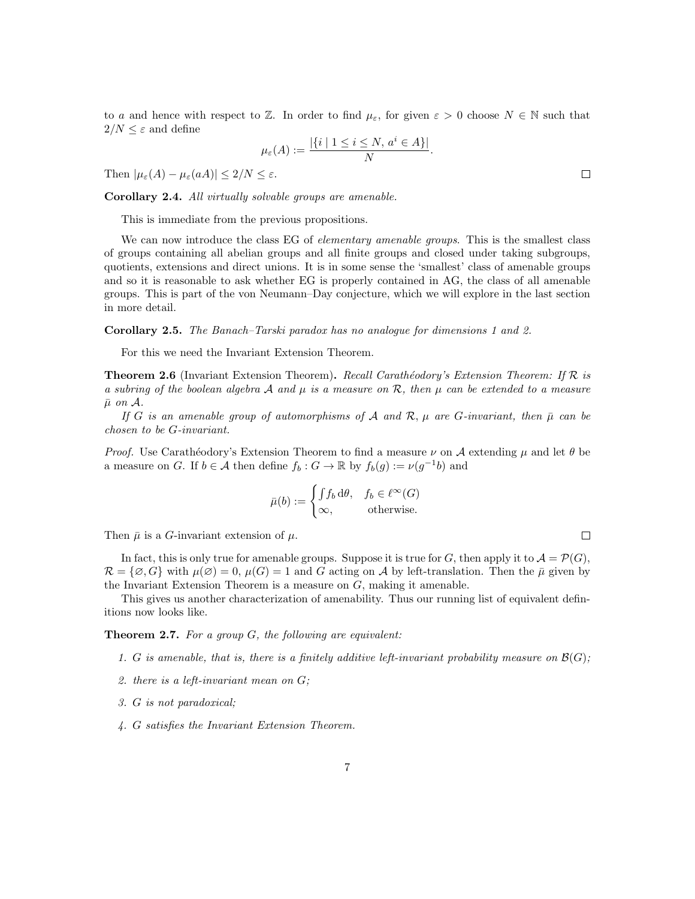to a and hence with respect to Z. In order to find  $\mu_{\varepsilon}$ , for given  $\varepsilon > 0$  choose  $N \in \mathbb{N}$  such that  $2/N \leq \varepsilon$  and define

$$
\mu_{\varepsilon}(A) := \frac{|\{i \mid 1 \le i \le N, a^i \in A\}|}{N}.
$$

Then  $|\mu_{\varepsilon}(A) - \mu_{\varepsilon}(aA)| \leq 2/N \leq \varepsilon$ .

Corollary 2.4. All virtually solvable groups are amenable.

This is immediate from the previous propositions.

We can now introduce the class EG of *elementary amenable groups*. This is the smallest class of groups containing all abelian groups and all finite groups and closed under taking subgroups, quotients, extensions and direct unions. It is in some sense the 'smallest' class of amenable groups and so it is reasonable to ask whether EG is properly contained in AG, the class of all amenable groups. This is part of the von Neumann–Day conjecture, which we will explore in the last section in more detail.

Corollary 2.5. The Banach–Tarski paradox has no analogue for dimensions 1 and 2.

For this we need the Invariant Extension Theorem.

**Theorem 2.6** (Invariant Extension Theorem). Recall Carathéodory's Extension Theorem: If  $\mathcal{R}$  is a subring of the boolean algebra A and  $\mu$  is a measure on R, then  $\mu$  can be extended to a measure  $\bar{\mu}$  on  $\mathcal{A}$ .

If G is an amenable group of automorphisms of A and R,  $\mu$  are G-invariant, then  $\bar{\mu}$  can be chosen to be G-invariant.

*Proof.* Use Carathéodory's Extension Theorem to find a measure  $\nu$  on A extending  $\mu$  and let  $\theta$  be a measure on G. If  $b \in \mathcal{A}$  then define  $f_b: G \to \mathbb{R}$  by  $f_b(g) := \nu(g^{-1}b)$  and

$$
\bar{\mu}(b) := \begin{cases} \int f_b \, d\theta, & f_b \in \ell^{\infty}(G) \\ \infty, & \text{otherwise.} \end{cases}
$$

Then  $\bar{\mu}$  is a *G*-invariant extension of  $\mu$ .

In fact, this is only true for amenable groups. Suppose it is true for G, then apply it to  $\mathcal{A} = \mathcal{P}(G)$ ,  $\mathcal{R} = \{\emptyset, G\}$  with  $\mu(\emptyset) = 0$ ,  $\mu(G) = 1$  and G acting on A by left-translation. Then the  $\bar{\mu}$  given by the Invariant Extension Theorem is a measure on  $G$ , making it amenable.

This gives us another characterization of amenability. Thus our running list of equivalent definitions now looks like.

**Theorem 2.7.** For a group  $G$ , the following are equivalent:

- 1. G is amenable, that is, there is a finitely additive left-invariant probability measure on  $\mathcal{B}(G)$ ;
- 2. there is a left-invariant mean on G;
- 3. G is not paradoxical;
- 4. G satisfies the Invariant Extension Theorem.

 $\Box$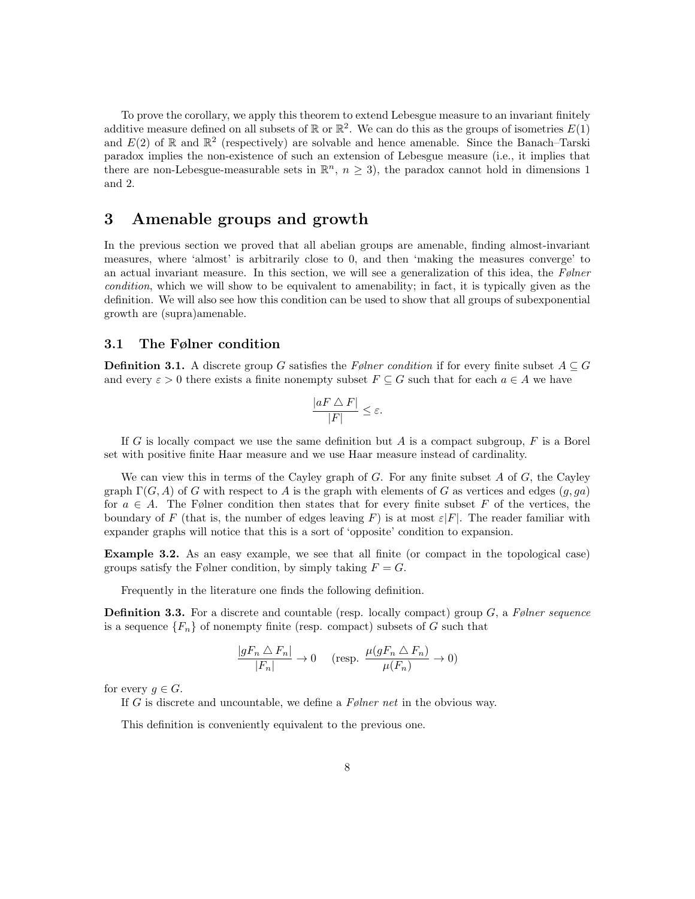To prove the corollary, we apply this theorem to extend Lebesgue measure to an invariant finitely additive measure defined on all subsets of  $\mathbb R$  or  $\mathbb R^2$ . We can do this as the groups of isometries  $E(1)$ and  $E(2)$  of R and  $\mathbb{R}^2$  (respectively) are solvable and hence amenable. Since the Banach–Tarski paradox implies the non-existence of such an extension of Lebesgue measure (i.e., it implies that there are non-Lebesgue-measurable sets in  $\mathbb{R}^n$ ,  $n \geq 3$ ), the paradox cannot hold in dimensions 1 and 2.

## 3 Amenable groups and growth

In the previous section we proved that all abelian groups are amenable, finding almost-invariant measures, where 'almost' is arbitrarily close to 0, and then 'making the measures converge' to an actual invariant measure. In this section, we will see a generalization of this idea, the Følner condition, which we will show to be equivalent to amenability; in fact, it is typically given as the definition. We will also see how this condition can be used to show that all groups of subexponential growth are (supra)amenable.

### 3.1 The Følner condition

**Definition 3.1.** A discrete group G satisfies the Følner condition if for every finite subset  $A \subseteq G$ and every  $\varepsilon > 0$  there exists a finite nonempty subset  $F \subseteq G$  such that for each  $a \in A$  we have

$$
\frac{|aF \bigtriangleup F|}{|F|} \le \varepsilon.
$$

If G is locally compact we use the same definition but A is a compact subgroup,  $F$  is a Borel set with positive finite Haar measure and we use Haar measure instead of cardinality.

We can view this in terms of the Cayley graph of  $G$ . For any finite subset  $A$  of  $G$ , the Cayley graph  $\Gamma(G, A)$  of G with respect to A is the graph with elements of G as vertices and edges  $(q, qa)$ for  $a \in A$ . The Følner condition then states that for every finite subset F of the vertices, the boundary of F (that is, the number of edges leaving F) is at most  $\varepsilon|F|$ . The reader familiar with expander graphs will notice that this is a sort of 'opposite' condition to expansion.

Example 3.2. As an easy example, we see that all finite (or compact in the topological case) groups satisfy the Følner condition, by simply taking  $F = G$ .

Frequently in the literature one finds the following definition.

**Definition 3.3.** For a discrete and countable (resp. locally compact) group  $G$ , a Følner sequence is a sequence  ${F_n}$  of nonempty finite (resp. compact) subsets of G such that

$$
\frac{|gF_n \bigtriangleup F_n|}{|F_n|} \to 0 \quad \text{(resp. } \frac{\mu(gF_n \bigtriangleup F_n)}{\mu(F_n)} \to 0)
$$

for every  $q \in G$ .

If G is discrete and uncountable, we define a  $F\phi$  *here net* in the obvious way.

This definition is conveniently equivalent to the previous one.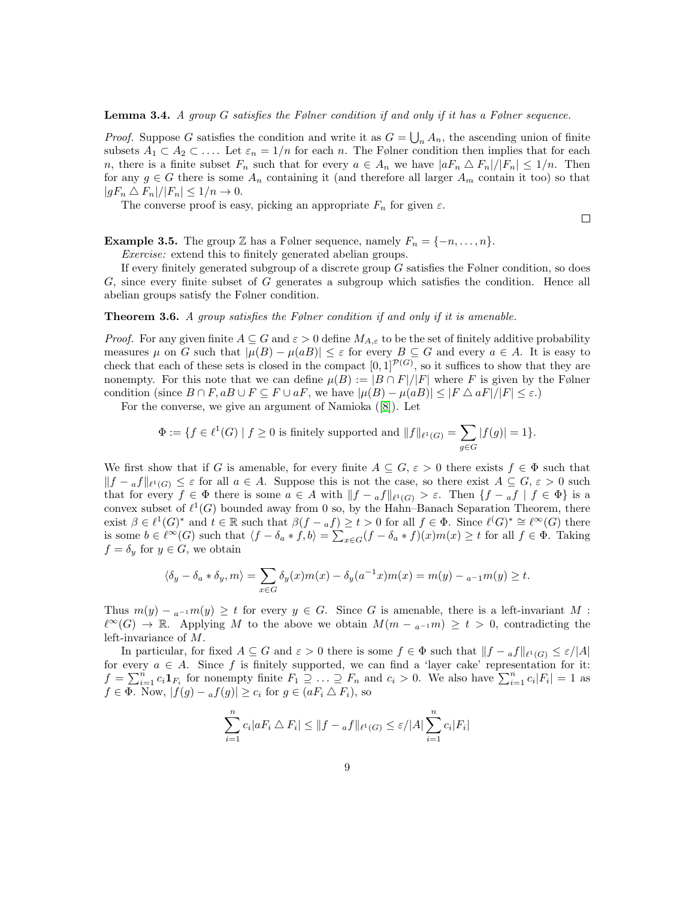#### **Lemma 3.4.** A group G satisfies the Følner condition if and only if it has a Følner sequence.

*Proof.* Suppose G satisfies the condition and write it as  $G = \bigcup_n A_n$ , the ascending union of finite subsets  $A_1 \subset A_2 \subset \ldots$  Let  $\varepsilon_n = 1/n$  for each n. The Følner condition then implies that for each n, there is a finite subset  $F_n$  such that for every  $a \in A_n$  we have  $|aF_n \triangle F_n|/|F_n| \leq 1/n$ . Then for any  $g \in G$  there is some  $A_n$  containing it (and therefore all larger  $A_m$  contain it too) so that  $|gF_n \triangle F_n|/|F_n| \leq 1/n \rightarrow 0.$ 

The converse proof is easy, picking an appropriate  $F_n$  for given  $\varepsilon$ .

**Example 3.5.** The group Z has a Følner sequence, namely  $F_n = \{-n, \ldots, n\}.$ 

Exercise: extend this to finitely generated abelian groups.

If every finitely generated subgroup of a discrete group  $G$  satisfies the Følner condition, so does G, since every finite subset of G generates a subgroup which satisfies the condition. Hence all abelian groups satisfy the Følner condition.

### **Theorem 3.6.** A group satisfies the Følner condition if and only if it is amenable.

*Proof.* For any given finite  $A \subseteq G$  and  $\varepsilon > 0$  define  $M_{A,\varepsilon}$  to be the set of finitely additive probability measures  $\mu$  on G such that  $|\mu(B) - \mu(aB)| \leq \varepsilon$  for every  $B \subseteq G$  and every  $a \in A$ . It is easy to check that each of these sets is closed in the compact  $[0,1]^{\mathcal{P}(G)}$ , so it suffices to show that they are nonempty. For this note that we can define  $\mu(B) := |B \cap F|/|F|$  where F is given by the Følner condition (since  $B \cap F$ ,  $aB \cup F \subseteq F \cup aF$ , we have  $|\mu(B) - \mu(aB)| \leq |F \triangle aF|/|F| \leq \varepsilon$ .)

For the converse, we give an argument of Namioka([\[8\]](#page-16-9)). Let

$$
\Phi := \{ f \in \ell^1(G) \mid f \ge 0 \text{ is finitely supported and } ||f||_{\ell^1(G)} = \sum_{g \in G} |f(g)| = 1 \}.
$$

We first show that if G is amenable, for every finite  $A \subseteq G$ ,  $\varepsilon > 0$  there exists  $f \in \Phi$  such that  $||f - af||_{\ell^1(G)} \leq \varepsilon$  for all  $a \in A$ . Suppose this is not the case, so there exist  $A \subseteq G$ ,  $\varepsilon > 0$  such that for every  $f \in \Phi$  there is some  $a \in A$  with  $||f - af||_{\ell^1(G)} > \varepsilon$ . Then  $\{f - af \mid f \in \Phi\}$  is a convex subset of  $\ell^1(G)$  bounded away from 0 so, by the Hahn–Banach Separation Theorem, there exist  $\beta \in \ell^1(G)^*$  and  $t \in \mathbb{R}$  such that  $\beta(f -_a f) \geq t > 0$  for all  $f \in \Phi$ . Since  $\ell^{\ell}(G)^* \cong \ell^{\infty}(G)$  there is some  $b \in \ell^{\infty}(G)$  such that  $\langle f - \delta_a * f, b \rangle = \sum_{x \in G} (f - \delta_a * f)(x) m(x) \ge t$  for all  $f \in \Phi$ . Taking  $f = \delta_y$  for  $y \in G$ , we obtain

$$
\langle \delta_y - \delta_a * \delta_y, m \rangle = \sum_{x \in G} \delta_y(x) m(x) - \delta_y(a^{-1}x) m(x) = m(y) - a^{-1} m(y) \ge t.
$$

Thus  $m(y) - a^{-1}m(y) \ge t$  for every  $y \in G$ . Since G is amenable, there is a left-invariant M :  $\ell^{\infty}(G) \to \mathbb{R}$ . Applying M to the above we obtain  $M(m - a^{-1}m) \geq t > 0$ , contradicting the left-invariance of M.

In particular, for fixed  $A \subseteq G$  and  $\varepsilon > 0$  there is some  $f \in \Phi$  such that  $||f - af||_{\ell^1(G)} \leq \varepsilon/|A|$ for every  $a \in A$ . Since f is finitely supported, we can find a 'layer cake' representation for it:  $f = \sum_{i=1}^n c_i \mathbf{1}_{F_i}$  for nonempty finite  $F_1 \supseteq \ldots \supseteq F_n$  and  $c_i > 0$ . We also have  $\sum_{i=1}^n c_i |F_i| = 1$  as  $f \in \Phi$ . Now,  $|f(g) - af(g)| \ge c_i$  for  $g \in (aF_i \triangle F_i)$ , so

$$
\sum_{i=1}^{n} c_i |aF_i \bigtriangleup F_i| \leq ||f - af||_{\ell^1(G)} \leq \varepsilon / |A| \sum_{i=1}^{n} c_i |F_i|
$$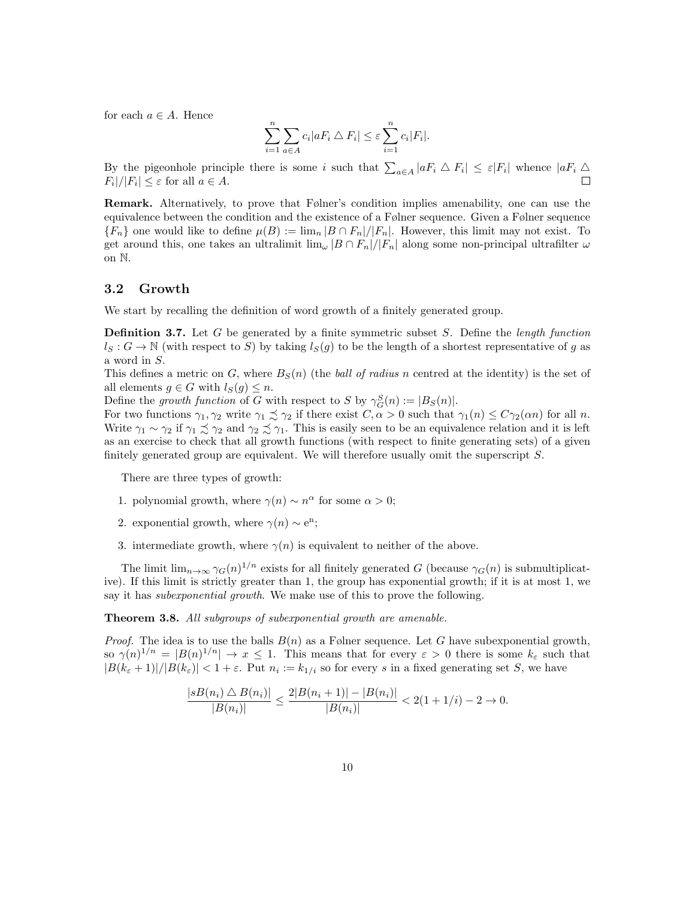for each  $a \in A$ . Hence

$$
\sum_{i=1}^{n} \sum_{a \in A} c_i |a F_i \bigtriangleup F_i| \leq \varepsilon \sum_{i=1}^{n} c_i |F_i|.
$$

By the pigeonhole principle there is some i such that  $\sum_{a \in A} |a F_i \wedge F_i| \leq \varepsilon |F_i|$  whence  $|a F_i \wedge F_j|$  $F_i|/|F_i| \leq \varepsilon$  for all  $a \in A$ .  $\Box$ 

Remark. Alternatively, to prove that Følner's condition implies amenability, one can use the equivalence between the condition and the existence of a Følner sequence. Given a Følner sequence  ${F_n}$  one would like to define  $\mu(B) := \lim_n |B \cap F_n|/|F_n|$ . However, this limit may not exist. To get around this, one takes an ultralimit  $\lim_{\omega} |B \cap F_n|/|F_n|$  along some non-principal ultrafilter  $\omega$ on N.

## 3.2 Growth

We start by recalling the definition of word growth of a finitely generated group.

**Definition 3.7.** Let G be generated by a finite symmetric subset S. Define the length function  $l_S : G \to \mathbb{N}$  (with respect to S) by taking  $l_S(g)$  to be the length of a shortest representative of g as a word in S.

This defines a metric on G, where  $B<sub>S</sub>(n)$  (the *ball of radius n* centred at the identity) is the set of all elements  $g \in G$  with  $l_S(g) \leq n$ .

Define the growth function of G with respect to S by  $\gamma_G^S(n) := |B_S(n)|$ .

For two functions  $\gamma_1, \gamma_2$  write  $\gamma_1 \precsim \gamma_2$  if there exist  $C, \alpha > 0$  such that  $\gamma_1(n) \le C\gamma_2(\alpha n)$  for all n. Write  $\gamma_1 \sim \gamma_2$  if  $\gamma_1 \precsim \gamma_2$  and  $\gamma_2 \precsim \gamma_1$ . This is easily seen to be an equivalence relation and it is left as an exercise to check that all growth functions (with respect to finite generating sets) of a given finitely generated group are equivalent. We will therefore usually omit the superscript S.

There are three types of growth:

- 1. polynomial growth, where  $\gamma(n) \sim n^{\alpha}$  for some  $\alpha > 0$ ;
- 2. exponential growth, where  $\gamma(n) \sim e^{n}$ ;
- 3. intermediate growth, where  $\gamma(n)$  is equivalent to neither of the above.

The limit  $\lim_{n\to\infty} \gamma_G(n)^{1/n}$  exists for all finitely generated G (because  $\gamma_G(n)$  is submultiplicative). If this limit is strictly greater than 1, the group has exponential growth; if it is at most 1, we say it has *subexponential growth*. We make use of this to prove the following.

<span id="page-9-0"></span>Theorem 3.8. All subgroups of subexponential growth are amenable.

*Proof.* The idea is to use the balls  $B(n)$  as a Følner sequence. Let G have subexponential growth, so  $\gamma(n)^{1/n} = |B(n)^{1/n}| \to x \le 1$ . This means that for every  $\varepsilon > 0$  there is some  $k_{\varepsilon}$  such that  $|B(k_{\varepsilon}+1)|/|B(k_{\varepsilon})| < 1+\varepsilon$ . Put  $n_i := k_{1/i}$  so for every s in a fixed generating set S, we have

$$
\frac{|sB(n_i) \bigtriangleup B(n_i)|}{|B(n_i)|} \le \frac{2|B(n_i+1)| - |B(n_i)|}{|B(n_i)|} < 2(1+1/i) - 2 \to 0.
$$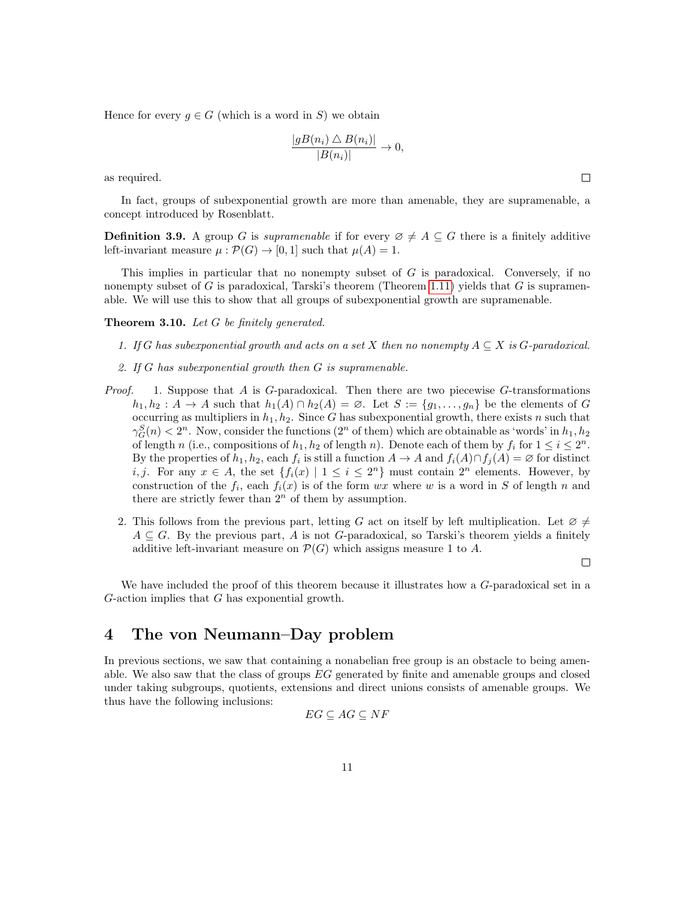Hence for every  $g \in G$  (which is a word in S) we obtain

$$
\frac{|gB(n_i) \bigtriangleup B(n_i)|}{|B(n_i)|} \to 0,
$$

as required.

In fact, groups of subexponential growth are more than amenable, they are supramenable, a concept introduced by Rosenblatt.

**Definition 3.9.** A group G is supramenable if for every  $\emptyset \neq A \subseteq G$  there is a finitely additive left-invariant measure  $\mu : \mathcal{P}(G) \to [0,1]$  such that  $\mu(A) = 1$ .

This implies in particular that no nonempty subset of  $G$  is paradoxical. Conversely, if no nonempty subset of G is paradoxical, Tarski's theorem (Theorem [1.11\)](#page-2-1) yields that G is supramenable. We will use this to show that all groups of subexponential growth are supramenable.

**Theorem 3.10.** Let  $G$  be finitely generated.

- 1. If G has subexponential growth and acts on a set X then no nonempty  $A \subseteq X$  is G-paradoxical.
- 2. If G has subexponential growth then G is supramenable.
- *Proof.* 1. Suppose that A is G-paradoxical. Then there are two piecewise G-transformations  $h_1, h_2 : A \to A$  such that  $h_1(A) \cap h_2(A) = \emptyset$ . Let  $S := \{g_1, \ldots, g_n\}$  be the elements of G occurring as multipliers in  $h_1, h_2$ . Since G has subexponential growth, there exists n such that  $\gamma_G^S(n) < 2^n$ . Now, consider the functions  $(2^n \text{ of them})$  which are obtainable as 'words' in  $h_1, h_2$ of length n (i.e., compositions of  $h_1, h_2$  of length n). Denote each of them by  $f_i$  for  $1 \leq i \leq 2^n$ . By the properties of  $h_1, h_2$ , each  $f_i$  is still a function  $A \to A$  and  $f_i(A) \cap f_j(A) = \emptyset$  for distinct *i*, *j*. For any  $x \in A$ , the set  $\{f_i(x) \mid 1 \leq i \leq 2^n\}$  must contain  $2^n$  elements. However, by construction of the  $f_i$ , each  $f_i(x)$  is of the form wx where w is a word in S of length n and there are strictly fewer than  $2<sup>n</sup>$  of them by assumption.
	- 2. This follows from the previous part, letting G act on itself by left multiplication. Let  $\varnothing \neq$  $A \subseteq G$ . By the previous part, A is not G-paradoxical, so Tarski's theorem yields a finitely additive left-invariant measure on  $\mathcal{P}(G)$  which assigns measure 1 to A.

$$
\Box
$$

We have included the proof of this theorem because it illustrates how a G-paradoxical set in a  $G$ -action implies that  $G$  has exponential growth.

## 4 The von Neumann–Day problem

In previous sections, we saw that containing a nonabelian free group is an obstacle to being amenable. We also saw that the class of groups  $EG$  generated by finite and amenable groups and closed under taking subgroups, quotients, extensions and direct unions consists of amenable groups. We thus have the following inclusions:

$$
EG \subseteq AG \subseteq NF
$$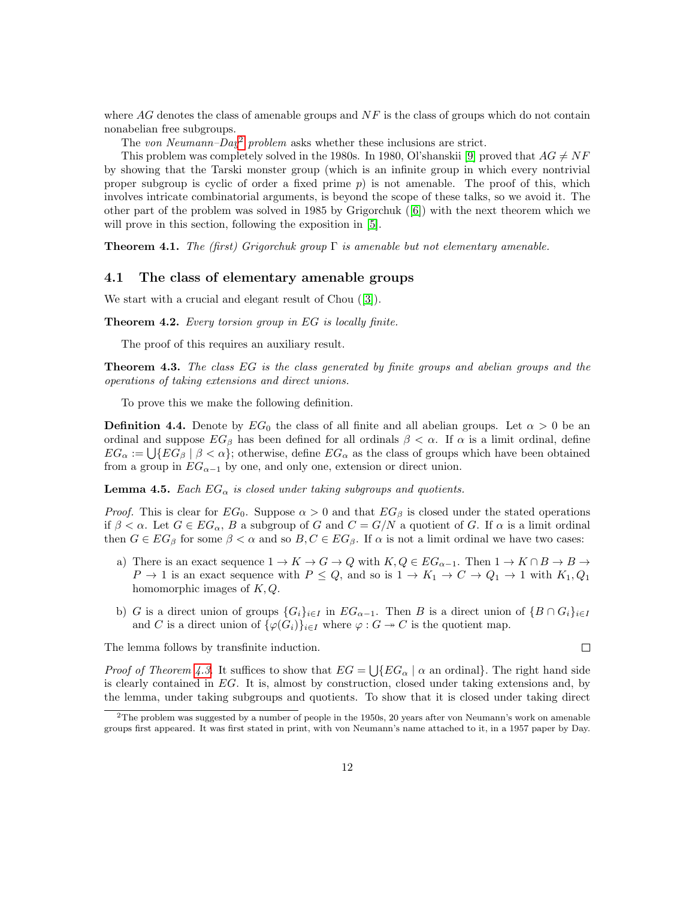where  $AG$  denotes the class of amenable groups and  $NF$  is the class of groups which do not contain nonabelian free subgroups.

The von Neumann–Day<sup>[2](#page-11-0)</sup> problem asks whether these inclusions are strict.

This problem was completely solved in the 1980s. In 1980, Ol'shanskii [\[9\]](#page-16-10) proved that  $AG \neq NF$ by showing that the Tarski monster group (which is an infinite group in which every nontrivial proper subgroup is cyclic of order a fixed prime  $p$ ) is not amenable. The proof of this, which involves intricate combinatorial arguments, is beyond the scope of these talks, so we avoid it. The other part of the problem was solved in 1985 by Grigorchuk([\[6\]](#page-16-11)) with the next theorem which we will prove in this section, following the exposition in [\[5\]](#page-16-12).

**Theorem 4.1.** The (first) Grigorchuk group  $\Gamma$  is amenable but not elementary amenable.

## 4.1 The class of elementary amenable groups

We start with a crucial and elegant result of Chou([\[3\]](#page-16-13)).

<span id="page-11-2"></span>Theorem 4.2. Every torsion group in EG is locally finite.

The proof of this requires an auxiliary result.

<span id="page-11-1"></span>Theorem 4.3. The class EG is the class generated by finite groups and abelian groups and the operations of taking extensions and direct unions.

To prove this we make the following definition.

**Definition 4.4.** Denote by  $EG_0$  the class of all finite and all abelian groups. Let  $\alpha > 0$  be an ordinal and suppose  $EG_\beta$  has been defined for all ordinals  $\beta < \alpha$ . If  $\alpha$  is a limit ordinal, define  $EG_{\alpha} := \bigcup \{EG_{\beta} \mid \beta < \alpha\};\$  otherwise, define  $EG_{\alpha}$  as the class of groups which have been obtained from a group in  $EG_{\alpha-1}$  by one, and only one, extension or direct union.

**Lemma 4.5.** Each  $EG_{\alpha}$  is closed under taking subgroups and quotients.

*Proof.* This is clear for  $EG_0$ . Suppose  $\alpha > 0$  and that  $EG_\beta$  is closed under the stated operations if  $\beta < \alpha$ . Let  $G \in EG_{\alpha}$ , B a subgroup of G and  $C = G/N$  a quotient of G. If  $\alpha$  is a limit ordinal then  $G \in EG_{\beta}$  for some  $\beta < \alpha$  and so  $B, C \in EG_{\beta}$ . If  $\alpha$  is not a limit ordinal we have two cases:

- a) There is an exact sequence  $1 \to K \to G \to Q$  with  $K, Q \in EG_{\alpha-1}$ . Then  $1 \to K \cap B \to B \to \infty$  $P \to 1$  is an exact sequence with  $P \leq Q$ , and so is  $1 \to K_1 \to C \to Q_1 \to 1$  with  $K_1, Q_1$ homomorphic images of  $K, Q$ .
- b) G is a direct union of groups  $\{G_i\}_{i\in I}$  in  $EG_{\alpha-1}$ . Then B is a direct union of  $\{B \cap G_i\}_{i\in I}$ and C is a direct union of  $\{\varphi(G_i)\}_{i\in I}$  where  $\varphi: G \to C$  is the quotient map.

The lemma follows by transfinite induction.

 $\Box$ 

*Proof of Theorem [4.3](#page-11-1).* It suffices to show that  $EG = \bigcup \{EG_\alpha \mid \alpha \text{ an ordinal}\}\$ . The right hand side is clearly contained in EG. It is, almost by construction, closed under taking extensions and, by the lemma, under taking subgroups and quotients. To show that it is closed under taking direct

<span id="page-11-0"></span> $2$ The problem was suggested by a number of people in the 1950s, 20 years after von Neumann's work on amenable groups first appeared. It was first stated in print, with von Neumann's name attached to it, in a 1957 paper by Day.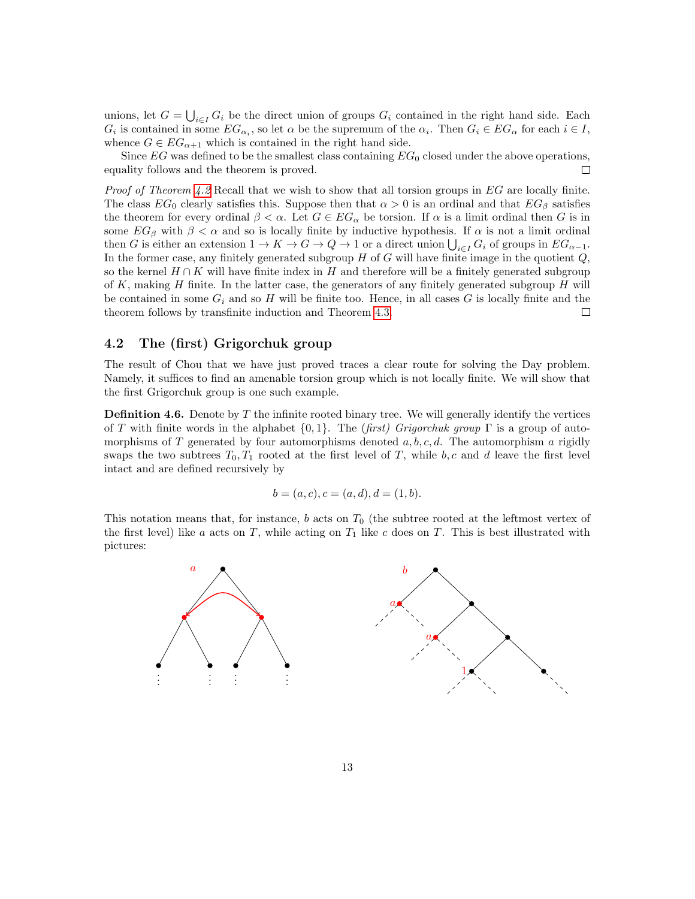unions, let  $G = \bigcup_{i \in I} G_i$  be the direct union of groups  $G_i$  contained in the right hand side. Each  $G_i$  is contained in some  $EG_{\alpha_i}$ , so let  $\alpha$  be the supremum of the  $\alpha_i$ . Then  $G_i \in EG_{\alpha}$  for each  $i \in I$ , whence  $G \in EG_{\alpha+1}$  which is contained in the right hand side.

Since  $EG$  was defined to be the smallest class containing  $EG_0$  closed under the above operations, equality follows and the theorem is proved. □

*Proof of Theorem [4.2](#page-11-2)* Recall that we wish to show that all torsion groups in  $EG$  are locally finite. The class  $EG_0$  clearly satisfies this. Suppose then that  $\alpha > 0$  is an ordinal and that  $EG_\beta$  satisfies the theorem for every ordinal  $\beta < \alpha$ . Let  $G \in EG_\alpha$  be torsion. If  $\alpha$  is a limit ordinal then G is in some  $EG_\beta$  with  $\beta < \alpha$  and so is locally finite by inductive hypothesis. If  $\alpha$  is not a limit ordinal then G is either an extension  $1 \to K \to G \to Q \to 1$  or a direct union  $\bigcup_{i \in I} G_i$  of groups in  $EG_{\alpha-1}$ . In the former case, any finitely generated subgroup  $H$  of  $G$  will have finite image in the quotient  $Q$ , so the kernel  $H \cap K$  will have finite index in H and therefore will be a finitely generated subgroup of  $K$ , making  $H$  finite. In the latter case, the generators of any finitely generated subgroup  $H$  will be contained in some  $G_i$  and so H will be finite too. Hence, in all cases G is locally finite and the theorem follows by transfinite induction and Theorem [4.3.](#page-11-1)  $\Box$ 

## 4.2 The (first) Grigorchuk group

The result of Chou that we have just proved traces a clear route for solving the Day problem. Namely, it suffices to find an amenable torsion group which is not locally finite. We will show that the first Grigorchuk group is one such example.

**Definition 4.6.** Denote by  $T$  the infinite rooted binary tree. We will generally identify the vertices of T with finite words in the alphabet  $\{0, 1\}$ . The (first) Grigorchuk group  $\Gamma$  is a group of automorphisms of T generated by four automorphisms denoted  $a, b, c, d$ . The automorphism a rigidly swaps the two subtrees  $T_0, T_1$  rooted at the first level of T, while  $b, c$  and d leave the first level intact and are defined recursively by

$$
b = (a, c), c = (a, d), d = (1, b).
$$

This notation means that, for instance,  $b$  acts on  $T_0$  (the subtree rooted at the leftmost vertex of the first level) like a acts on T, while acting on  $T_1$  like c does on T. This is best illustrated with pictures:

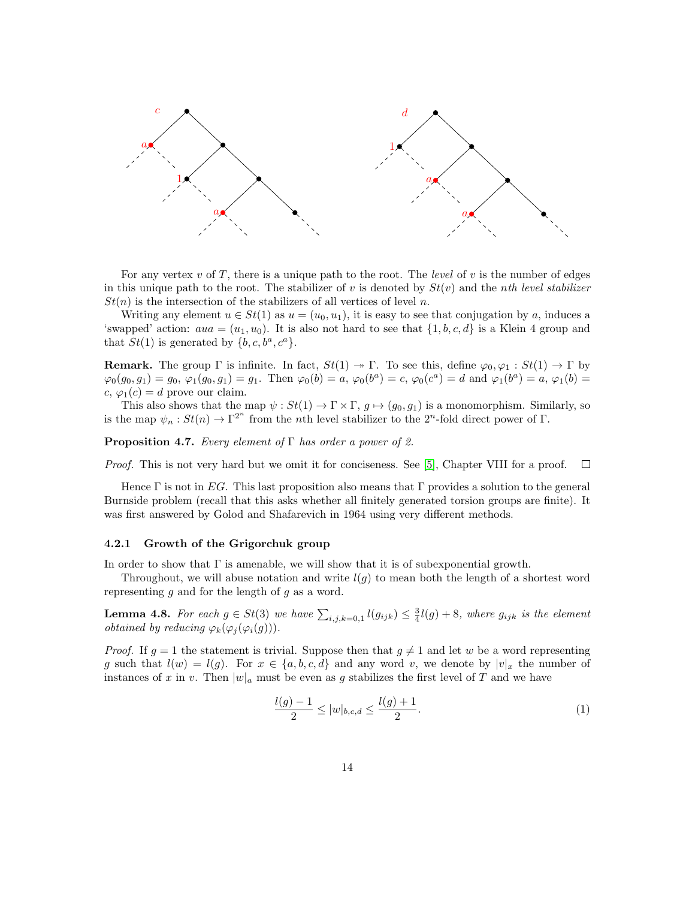

For any vertex  $v$  of  $T$ , there is a unique path to the root. The *level* of  $v$  is the number of edges in this unique path to the root. The stabilizer of v is denoted by  $St(v)$  and the nth level stabilizer  $St(n)$  is the intersection of the stabilizers of all vertices of level n.

Writing any element  $u \in St(1)$  as  $u = (u_0, u_1)$ , it is easy to see that conjugation by a, induces a 'swapped' action:  $au = (u_1, u_0)$ . It is also not hard to see that  $\{1, b, c, d\}$  is a Klein 4 group and that  $St(1)$  is generated by  $\{b, c, b^a, c^a\}.$ 

**Remark.** The group  $\Gamma$  is infinite. In fact,  $St(1) \rightarrow \Gamma$ . To see this, define  $\varphi_0, \varphi_1 : St(1) \rightarrow \Gamma$  by  $\varphi_0(g_0, g_1) = g_0, \, \varphi_1(g_0, g_1) = g_1.$  Then  $\varphi_0(b) = a, \, \varphi_0(b^a) = c, \, \varphi_0(c^a) = d$  and  $\varphi_1(b^a) = a, \, \varphi_1(b) = d$ c,  $\varphi_1(c) = d$  prove our claim.

This also shows that the map  $\psi : St(1) \to \Gamma \times \Gamma$ ,  $g \mapsto (g_0, g_1)$  is a monomorphism. Similarly, so is the map  $\psi_n : St(n) \to \Gamma^{2^n}$  from the *n*th level stabilizer to the 2<sup>n</sup>-fold direct power of  $\Gamma$ .

**Proposition 4.7.** Every element of  $\Gamma$  has order a power of 2.

Proof. This is not very hard but we omit it for conciseness. See [\[5\]](#page-16-12), Chapter VIII for a proof.  $\Box$ 

Hence Γ is not in EG. This last proposition also means that Γ provides a solution to the general Burnside problem (recall that this asks whether all finitely generated torsion groups are finite). It was first answered by Golod and Shafarevich in 1964 using very different methods.

### 4.2.1 Growth of the Grigorchuk group

In order to show that  $\Gamma$  is amenable, we will show that it is of subexponential growth.

Throughout, we will abuse notation and write  $l(q)$  to mean both the length of a shortest word representing  $g$  and for the length of  $g$  as a word.

**Lemma 4.8.** For each  $g \in St(3)$  we have  $\sum_{i,j,k=0,1} l(g_{ijk}) \leq \frac{3}{4}l(g) + 8$ , where  $g_{ijk}$  is the element *obtained by reducing*  $\varphi_k(\varphi_j(\varphi_i(g)))$ .

*Proof.* If  $g = 1$  the statement is trivial. Suppose then that  $g \neq 1$  and let w be a word representing g such that  $l(w) = l(q)$ . For  $x \in \{a, b, c, d\}$  and any word v, we denote by  $|v|_x$  the number of instances of x in v. Then  $|w|_a$  must be even as g stabilizes the first level of T and we have

<span id="page-13-0"></span>
$$
\frac{l(g)-1}{2} \le |w|_{b,c,d} \le \frac{l(g)+1}{2}.\tag{1}
$$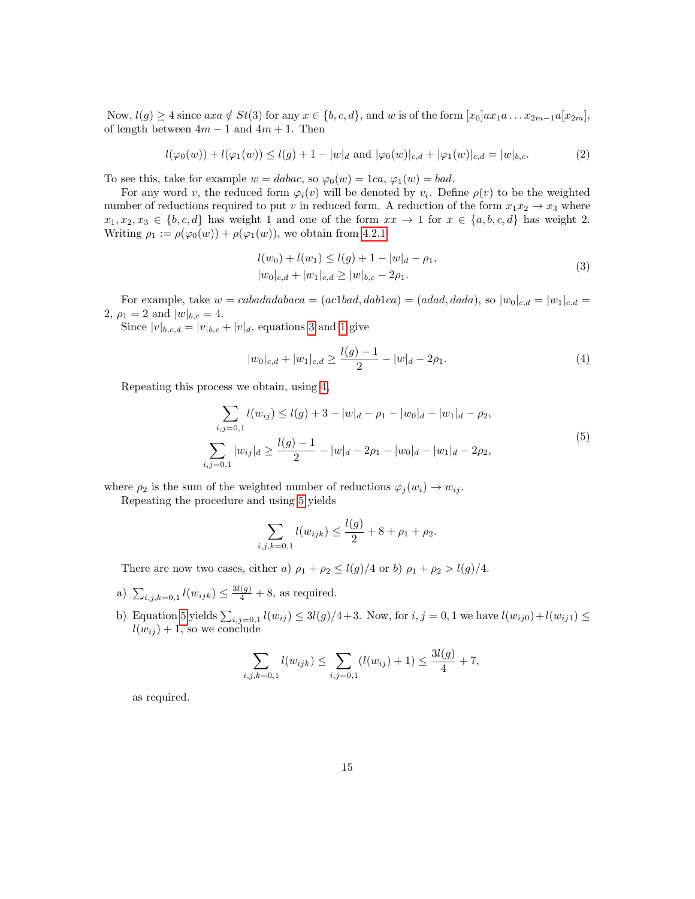Now,  $l(g) \geq 4$  since  $axa \notin St(3)$  for any  $x \in \{b, c, d\}$ , and w is of the form  $[x_0]ax_1a \ldots x_{2m-1}a[x_{2m}]$ , of length between  $4m - 1$  and  $4m + 1$ . Then

$$
l(\varphi_0(w)) + l(\varphi_1(w)) \le l(g) + 1 - |w|_d \text{ and } |\varphi_0(w)|_{c,d} + |\varphi_1(w)|_{c,d} = |w|_{b,c}.
$$
 (2)

To see this, take for example  $w = dabac$ , so  $\varphi_0(w) = 1ca$ ,  $\varphi_1(w) = bad$ .

For any word v, the reduced form  $\varphi_i(v)$  will be denoted by  $v_i$ . Define  $\rho(v)$  to be the weighted number of reductions required to put v in reduced form. A reduction of the form  $x_1x_2 \rightarrow x_3$  where  $x_1, x_2, x_3 \in \{b, c, d\}$  has weight 1 and one of the form  $xx \to 1$  for  $x \in \{a, b, c, d\}$  has weight 2. Writing  $\rho_1 := \rho(\varphi_0(w)) + \rho(\varphi_1(w))$ , we obtain from [4.2.1](#page-13-0)

$$
l(w_0) + l(w_1) \le l(g) + 1 - |w|_d - \rho_1,
$$
  
\n
$$
|w_0|_{c,d} + |w_1|_{c,d} \ge |w|_{b,c} - 2\rho_1.
$$
\n(3)

<span id="page-14-0"></span>For example, take  $w = cabadadabaca = (ac1bad, dab1ca) = (adad, dada)$ , so  $|w_0|_{c,d} = |w_1|_{c,d}$ 2,  $\rho_1 = 2$  and  $|w|_{b,c} = 4$ .

Since  $|v|_{b,c,d} = |v|_{b,c} + |v|_d$ , equations [3](#page-14-0) and [1](#page-13-0) give

<span id="page-14-1"></span>
$$
|w_0|_{c,d} + |w_1|_{c,d} \ge \frac{l(g)-1}{2} - |w|_d - 2\rho_1.
$$
\n(4)

<span id="page-14-2"></span>Repeating this process we obtain, using [4,](#page-14-1)

$$
\sum_{i,j=0,1} l(w_{ij}) \le l(g) + 3 - |w|_d - \rho_1 - |w_0|_d - |w_1|_d - \rho_2,
$$
\n
$$
\sum_{i,j=0,1} |w_{ij}|_d \ge \frac{l(g)-1}{2} - |w|_d - 2\rho_1 - |w_0|_d - |w_1|_d - 2\rho_2,
$$
\n(5)

where  $\rho_2$  is the sum of the weighted number of reductions  $\varphi_i(w_i) \to w_{ij}$ .

Repeating the procedure and using [5](#page-14-2) yields

$$
\sum_{i,j,k=0,1} l(w_{ijk}) \le \frac{l(g)}{2} + 8 + \rho_1 + \rho_2.
$$

There are now two cases, either a)  $\rho_1 + \rho_2 \leq l(g)/4$  or b)  $\rho_1 + \rho_2 > l(g)/4$ .

- a)  $\sum_{i,j,k=0,1} l(w_{ijk}) \leq \frac{3l(g)}{4} + 8$ , as required.
- b) Equation [5](#page-14-2) yields  $\sum_{i,j=0,1} l(w_{ij}) \leq 3l(g)/4+3$ . Now, for  $i, j = 0, 1$  we have  $l(w_{ij0})+l(w_{ij1}) \leq$  $l(w_{ij}) + 1$ , so we conclude

$$
\sum_{i,j,k=0,1} l(w_{ijk}) \le \sum_{i,j=0,1} (l(w_{ij}) + 1) \le \frac{3l(g)}{4} + 7,
$$

as required.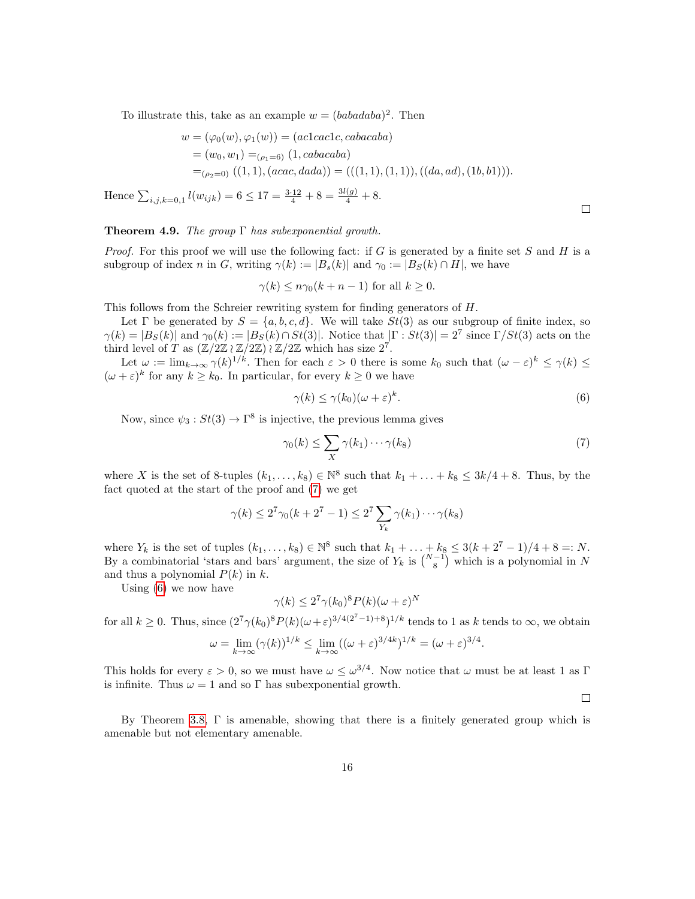To illustrate this, take as an example  $w = (babadaba)^2$ . Then

$$
w = (\varphi_0(w), \varphi_1(w)) = (ac1cac1c, cabacaba)
$$
  
=  $(w_0, w_1) =_{(\rho_1 = 6)} (1, cabacaba)$   
=  $(\rho_2 = 0) ((1, 1), (acac, dada)) = (((1, 1), (1, 1)), ((da, ad), (1b, b1))).$ 

Hence  $\sum_{i,j,k=0,1} l(w_{ijk}) = 6 \leq 17 = \frac{3 \cdot 12}{4} + 8 = \frac{3l(g)}{4} + 8.$ 

### **Theorem 4.9.** The group  $\Gamma$  has subexponential growth.

*Proof.* For this proof we will use the following fact: if G is generated by a finite set S and H is a subgroup of index n in G, writing  $\gamma(k) := |B_s(k)|$  and  $\gamma_0 := |B_s(k) \cap H|$ , we have

 $\gamma(k) \leq n \gamma_0(k+n-1)$  for all  $k \geq 0$ .

This follows from the Schreier rewriting system for finding generators of H.

Let Γ be generated by  $S = \{a, b, c, d\}$ . We will take  $St(3)$  as our subgroup of finite index, so  $\gamma(k) = |B_S(k)|$  and  $\gamma_0(k) := |B_S(k) \cap St(3)|$ . Notice that  $|\Gamma : St(3)| = 2^7$  since  $\Gamma / St(3)$  acts on the third level of T as  $(\mathbb{Z}/2\mathbb{Z}) \wr \mathbb{Z}/2\mathbb{Z}$  which has size  $2^7$ .

Let  $\omega := \lim_{k \to \infty} \gamma(k)^{1/k}$ . Then for each  $\varepsilon > 0$  there is some  $k_0$  such that  $(\omega - \varepsilon)^k \leq \gamma(k) \leq$  $(\omega + \varepsilon)^k$  for any  $k \geq k_0$ . In particular, for every  $k \geq 0$  we have

<span id="page-15-1"></span>
$$
\gamma(k) \le \gamma(k_0)(\omega + \varepsilon)^k. \tag{6}
$$

Now, since  $\psi_3: St(3) \to \Gamma^8$  is injective, the previous lemma gives

<span id="page-15-0"></span>
$$
\gamma_0(k) \le \sum_X \gamma(k_1) \cdots \gamma(k_8)
$$
\n(7)

where X is the set of 8-tuples  $(k_1, \ldots, k_8) \in \mathbb{N}^8$  such that  $k_1 + \ldots + k_8 \leq 3k/4 + 8$ . Thus, by the fact quoted at the start of the proof and [\(7\)](#page-15-0) we get

$$
\gamma(k) \le 2^7 \gamma_0(k + 2^7 - 1) \le 2^7 \sum_{Y_k} \gamma(k_1) \cdots \gamma(k_8)
$$

where  $Y_k$  is the set of tuples  $(k_1, ..., k_8) \in \mathbb{N}^8$  such that  $k_1 + ... + k_8 \leq 3(k + 2^7 - 1)/4 + 8 = : N$ . By a combinatorial 'stars and bars' argument, the size of  $Y_k$  is  $\binom{N-1}{8}$  which is a polynomial in N and thus a polynomial  $P(k)$  in k.

Using [\(6\)](#page-15-1) we now have

$$
\gamma(k) \le 2^7 \gamma(k_0)^8 P(k) (\omega + \varepsilon)^N
$$

for all  $k \geq 0$ . Thus, since  $(2^7 \gamma (k_0)^8 P(k) (\omega + \varepsilon)^{3/4(2^7-1)+8})^{1/k}$  tends to 1 as k tends to  $\infty$ , we obtain

$$
\omega = \lim_{k \to \infty} (\gamma(k))^{1/k} \le \lim_{k \to \infty} ((\omega + \varepsilon)^{3/4k})^{1/k} = (\omega + \varepsilon)^{3/4}.
$$

This holds for every  $\varepsilon > 0$ , so we must have  $\omega \leq \omega^{3/4}$ . Now notice that  $\omega$  must be at least 1 as  $\Gamma$ is infinite. Thus  $\omega = 1$  and so  $\Gamma$  has subexponential growth.

 $\Box$ 

By Theorem [3.8,](#page-9-0) Γ is amenable, showing that there is a finitely generated group which is amenable but not elementary amenable.